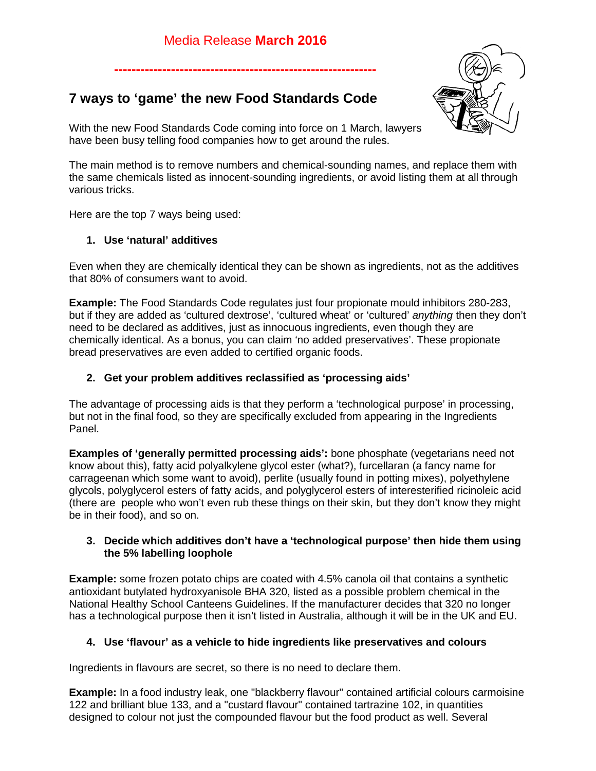**------------------------------------------------------------**

# **7 ways to 'game' the new Food Standards Code**



With the new Food Standards Code coming into force on 1 March, lawyers have been busy telling food companies how to get around the rules.

The main method is to remove numbers and chemical-sounding names, and replace them with the same chemicals listed as innocent-sounding ingredients, or avoid listing them at all through various tricks.

Here are the top 7 ways being used:

# **1. Use 'natural' additives**

Even when they are chemically identical they can be shown as ingredients, not as the additives that 80% of consumers want to avoid.

**Example:** The Food Standards Code regulates just four propionate mould inhibitors 280-283, but if they are added as 'cultured dextrose', 'cultured wheat' or 'cultured' *anything* then they don't need to be declared as additives, just as innocuous ingredients, even though they are chemically identical. As a bonus, you can claim 'no added preservatives'. These propionate bread preservatives are even added to certified organic foods.

## **2. Get your problem additives reclassified as 'processing aids'**

The advantage of processing aids is that they perform a 'technological purpose' in processing, but not in the final food, so they are specifically excluded from appearing in the Ingredients Panel.

**Examples of 'generally permitted processing aids':** bone phosphate (vegetarians need not know about this), fatty acid polyalkylene glycol ester (what?), furcellaran (a fancy name for carrageenan which some want to avoid), perlite (usually found in potting mixes), polyethylene glycols, polyglycerol esters of fatty acids, and polyglycerol esters of interesterified ricinoleic acid (there are people who won't even rub these things on their skin, but they don't know they might be in their food), and so on.

### **3. Decide which additives don't have a 'technological purpose' then hide them using the 5% labelling loophole**

**Example:** some frozen potato chips are coated with 4.5% canola oil that contains a synthetic antioxidant butylated hydroxyanisole BHA 320, listed as a possible problem chemical in the National Healthy School Canteens Guidelines. If the manufacturer decides that 320 no longer has a technological purpose then it isn't listed in Australia, although it will be in the UK and EU.

# **4. Use 'flavour' as a vehicle to hide ingredients like preservatives and colours**

Ingredients in flavours are secret, so there is no need to declare them.

**Example:** In a food industry leak, one "blackberry flavour" contained artificial colours carmoisine 122 and brilliant blue 133, and a "custard flavour" contained tartrazine 102, in quantities designed to colour not just the compounded flavour but the food product as well. Several